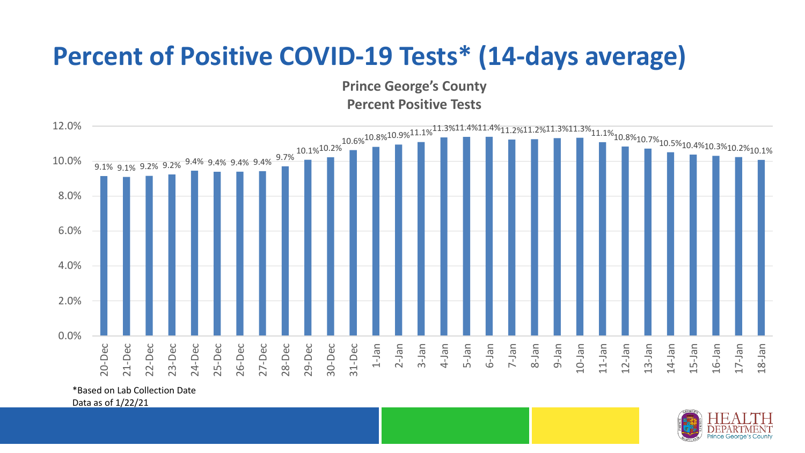## **Percent of Positive COVID-19 Tests\* (14-days average)**

**Prince George's County Percent Positive Tests**



\*Based on Lab Collection Date

Data as of 1/22/21

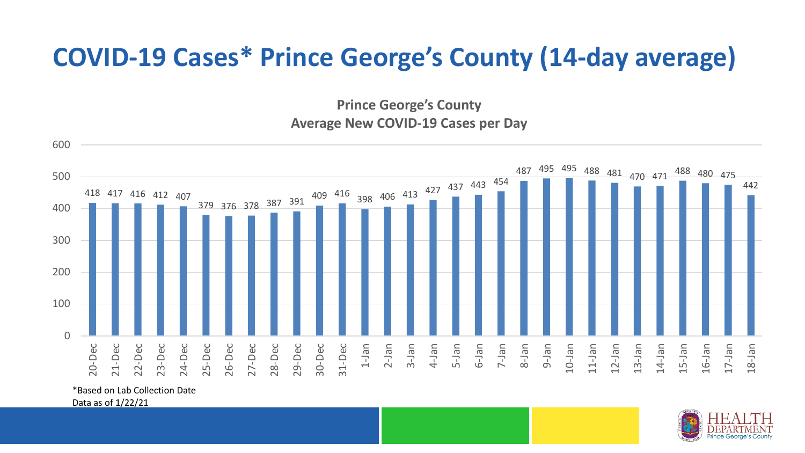## **COVID-19 Cases\* Prince George's County (14-day average)**

**Prince George's County Average New COVID-19 Cases per Day**



\*Based on Lab Collection Date

Data as of 1/22/21